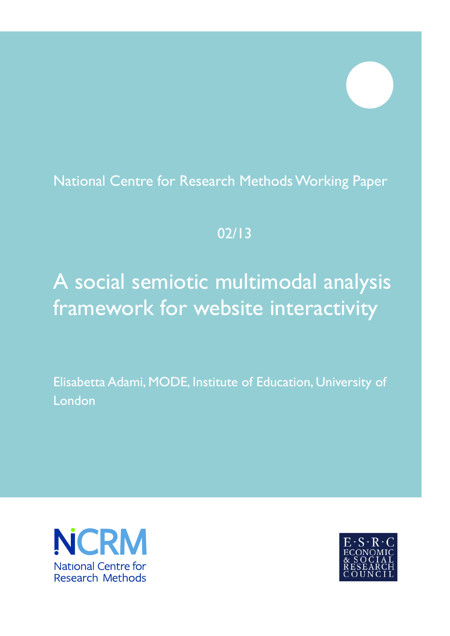# National Centre for Research Methods Working Paper

# 02/13

# A social semiotic multimodal analysis framework for website interactivity

Elisabetta Adami, MODE, Institute of Education, University of London



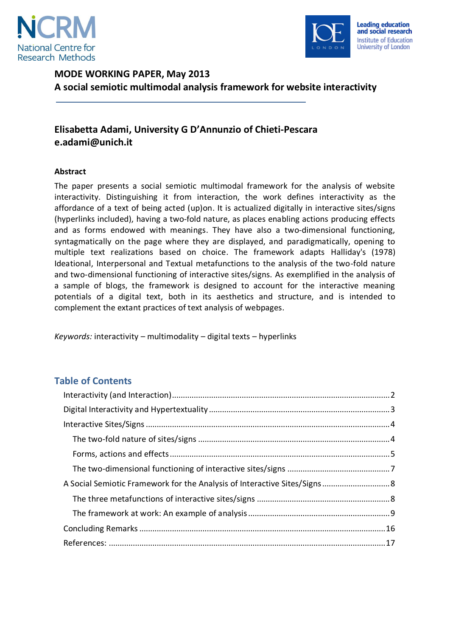



## **MODE WORKING PAPER, May 2013 A social semiotic multimodal analysis framework for website interactivity**

## **Elisabetta Adami, University G D'Annunzio of Chieti-Pescara e.adami@unich.it**

#### **Abstract**

The paper presents a social semiotic multimodal framework for the analysis of website interactivity. Distinguishing it from interaction, the work defines interactivity as the affordance of a text of being acted (up)on. It is actualized digitally in interactive sites/signs (hyperlinks included), having a two-fold nature, as places enabling actions producing effects and as forms endowed with meanings. They have also a two-dimensional functioning, syntagmatically on the page where they are displayed, and paradigmatically, opening to multiple text realizations based on choice. The framework adapts Halliday's (1978) Ideational, Interpersonal and Textual metafunctions to the analysis of the two-fold nature and two-dimensional functioning of interactive sites/signs. As exemplified in the analysis of a sample of blogs, the framework is designed to account for the interactive meaning potentials of a digital text, both in its aesthetics and structure, and is intended to complement the extant practices of text analysis of webpages.

*Keywords:* interactivity – multimodality – digital texts – hyperlinks

### **Table of Contents**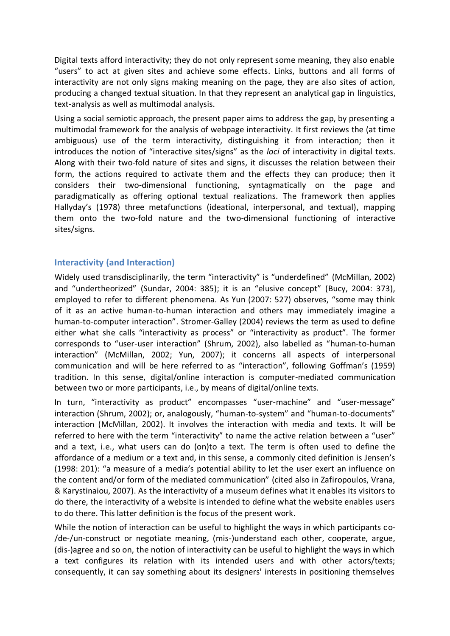Digital texts afford interactivity; they do not only represent some meaning, they also enable "users" to act at given sites and achieve some effects. Links, buttons and all forms of interactivity are not only signs making meaning on the page, they are also sites of action, producing a changed textual situation. In that they represent an analytical gap in linguistics, text-analysis as well as multimodal analysis.

Using a social semiotic approach, the present paper aims to address the gap, by presenting a multimodal framework for the analysis of webpage interactivity. It first reviews the (at time ambiguous) use of the term interactivity, distinguishing it from interaction; then it introduces the notion of "interactive sites/signs" as the *loci* of interactivity in digital texts. Along with their two-fold nature of sites and signs, it discusses the relation between their form, the actions required to activate them and the effects they can produce; then it considers their two-dimensional functioning, syntagmatically on the page and paradigmatically as offering optional textual realizations. The framework then applies Hallyday's (1978) three metafunctions (ideational, interpersonal, and textual), mapping them onto the two-fold nature and the two-dimensional functioning of interactive sites/signs.

#### <span id="page-2-0"></span>**Interactivity (and Interaction)**

Widely used transdisciplinarily, the term "interactivity" is "underdefined" (McMillan, 2002) and "undertheorized" (Sundar, 2004: 385); it is an "elusive concept" (Bucy, 2004: 373), employed to refer to different phenomena. As Yun (2007: 527) observes, "some may think of it as an active human-to-human interaction and others may immediately imagine a human-to-computer interaction". Stromer-Galley (2004) reviews the term as used to define either what she calls "interactivity as process" or "interactivity as product". The former corresponds to "user-user interaction" (Shrum, 2002), also labelled as "human-to-human interaction" (McMillan, 2002; Yun, 2007); it concerns all aspects of interpersonal communication and will be here referred to as "interaction", following Goffman's (1959) tradition. In this sense, digital/online interaction is computer-mediated communication between two or more participants, i.e., by means of digital/online texts.

In turn, "interactivity as product" encompasses "user-machine" and "user-message" interaction (Shrum, 2002); or, analogously, "human-to-system" and "human-to-documents" interaction (McMillan, 2002). It involves the interaction with media and texts. It will be referred to here with the term "interactivity" to name the active relation between a "user" and a text, i.e., what users can do (on)to a text. The term is often used to define the affordance of a medium or a text and, in this sense, a commonly cited definition is Jensen's (1998: 201): "a measure of a media's potential ability to let the user exert an influence on the content and/or form of the mediated communication" (cited also in Zafiropoulos, Vrana, & Karystinaiou, 2007). As the interactivity of a museum defines what it enables its visitors to do there, the interactivity of a website is intended to define what the website enables users to do there. This latter definition is the focus of the present work.

While the notion of interaction can be useful to highlight the ways in which participants co- /de-/un-construct or negotiate meaning, (mis-)understand each other, cooperate, argue, (dis-)agree and so on, the notion of interactivity can be useful to highlight the ways in which a text configures its relation with its intended users and with other actors/texts; consequently, it can say something about its designers' interests in positioning themselves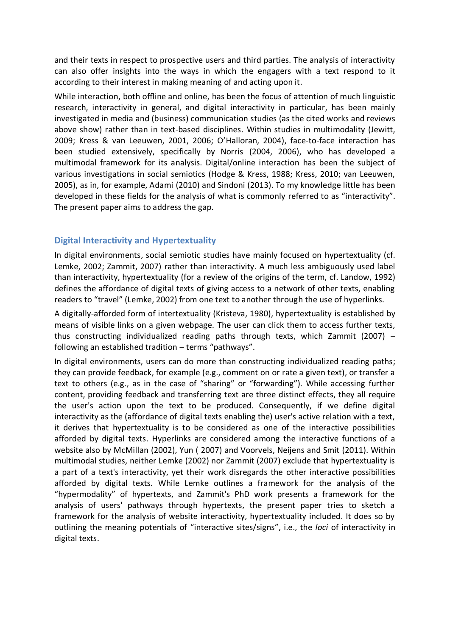and their texts in respect to prospective users and third parties. The analysis of interactivity can also offer insights into the ways in which the engagers with a text respond to it according to their interest in making meaning of and acting upon it.

While interaction, both offline and online, has been the focus of attention of much linguistic research, interactivity in general, and digital interactivity in particular, has been mainly investigated in media and (business) communication studies (as the cited works and reviews above show) rather than in text-based disciplines. Within studies in multimodality (Jewitt, 2009; Kress & van Leeuwen, 2001, 2006; O'Halloran, 2004), face-to-face interaction has been studied extensively, specifically by Norris (2004, 2006), who has developed a multimodal framework for its analysis. Digital/online interaction has been the subject of various investigations in social semiotics (Hodge & Kress, 1988; Kress, 2010; van Leeuwen, 2005), as in, for example, Adami (2010) and Sindoni (2013). To my knowledge little has been developed in these fields for the analysis of what is commonly referred to as "interactivity". The present paper aims to address the gap.

#### <span id="page-3-0"></span>**Digital Interactivity and Hypertextuality**

In digital environments, social semiotic studies have mainly focused on hypertextuality (cf. Lemke, 2002; Zammit, 2007) rather than interactivity. A much less ambiguously used label than interactivity, hypertextuality (for a review of the origins of the term, cf. Landow, 1992) defines the affordance of digital texts of giving access to a network of other texts, enabling readers to "travel" (Lemke, 2002) from one text to another through the use of hyperlinks.

A digitally-afforded form of intertextuality (Kristeva, 1980), hypertextuality is established by means of visible links on a given webpage. The user can click them to access further texts, thus constructing individualized reading paths through texts, which Zammit (2007) – following an established tradition – terms "pathways".

In digital environments, users can do more than constructing individualized reading paths; they can provide feedback, for example (e.g., comment on or rate a given text), or transfer a text to others (e.g., as in the case of "sharing" or "forwarding"). While accessing further content, providing feedback and transferring text are three distinct effects, they all require the user's action upon the text to be produced. Consequently, if we define digital interactivity as the (affordance of digital texts enabling the) user's active relation with a text, it derives that hypertextuality is to be considered as one of the interactive possibilities afforded by digital texts. Hyperlinks are considered among the interactive functions of a website also by McMillan (2002), Yun ( 2007) and Voorvels, Neijens and Smit (2011). Within multimodal studies, neither Lemke (2002) nor Zammit (2007) exclude that hypertextuality is a part of a text's interactivity, yet their work disregards the other interactive possibilities afforded by digital texts. While Lemke outlines a framework for the analysis of the "hypermodality" of hypertexts, and Zammit's PhD work presents a framework for the analysis of users' pathways through hypertexts, the present paper tries to sketch a framework for the analysis of website interactivity, hypertextuality included. It does so by outlining the meaning potentials of "interactive sites/signs", i.e., the *loci* of interactivity in digital texts.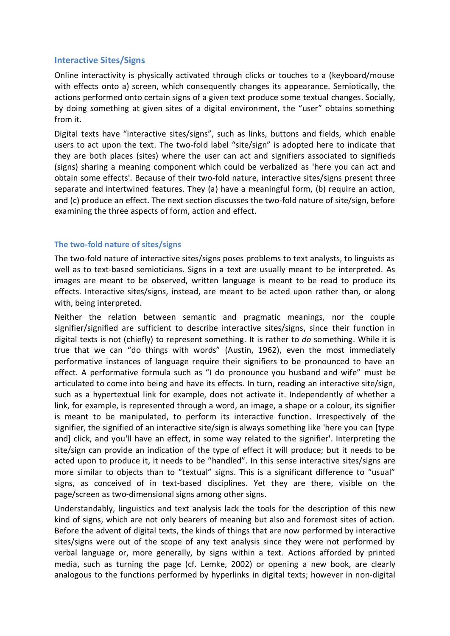#### <span id="page-4-0"></span>**Interactive Sites/Signs**

Online interactivity is physically activated through clicks or touches to a (keyboard/mouse with effects onto a) screen, which consequently changes its appearance. Semiotically, the actions performed onto certain signs of a given text produce some textual changes. Socially, by doing something at given sites of a digital environment, the "user" obtains something from it.

Digital texts have "interactive sites/signs", such as links, buttons and fields, which enable users to act upon the text. The two-fold label "site/sign" is adopted here to indicate that they are both places (sites) where the user can act and signifiers associated to signifieds (signs) sharing a meaning component which could be verbalized as 'here you can act and obtain some effects'. Because of their two-fold nature, interactive sites/signs present three separate and intertwined features. They (a) have a meaningful form, (b) require an action, and (c) produce an effect. The next section discusses the two-fold nature of site/sign, before examining the three aspects of form, action and effect.

#### <span id="page-4-1"></span>**The two-fold nature of sites/signs**

The two-fold nature of interactive sites/signs poses problems to text analysts, to linguists as well as to text-based semioticians. Signs in a text are usually meant to be interpreted. As images are meant to be observed, written language is meant to be read to produce its effects. Interactive sites/signs, instead, are meant to be acted upon rather than, or along with, being interpreted.

Neither the relation between semantic and pragmatic meanings, nor the couple signifier/signified are sufficient to describe interactive sites/signs, since their function in digital texts is not (chiefly) to represent something. It is rather to *do* something. While it is true that we can "do things with words" (Austin, 1962), even the most immediately performative instances of language require their signifiers to be pronounced to have an effect. A performative formula such as "I do pronounce you husband and wife" must be articulated to come into being and have its effects. In turn, reading an interactive site/sign, such as a hypertextual link for example, does not activate it. Independently of whether a link, for example, is represented through a word, an image, a shape or a colour, its signifier is meant to be manipulated, to perform its interactive function. Irrespectively of the signifier, the signified of an interactive site/sign is always something like 'here you can [type and] click, and you'll have an effect, in some way related to the signifier'. Interpreting the site/sign can provide an indication of the type of effect it will produce; but it needs to be acted upon to produce it, it needs to be "handled". In this sense interactive sites/signs are more similar to objects than to "textual" signs. This is a significant difference to "usual" signs, as conceived of in text-based disciplines. Yet they are there, visible on the page/screen as two-dimensional signs among other signs.

Understandably, linguistics and text analysis lack the tools for the description of this new kind of signs, which are not only bearers of meaning but also and foremost sites of action. Before the advent of digital texts, the kinds of things that are now performed by interactive sites/signs were out of the scope of any text analysis since they were not performed by verbal language or, more generally, by signs within a text. Actions afforded by printed media, such as turning the page (cf. Lemke, 2002) or opening a new book, are clearly analogous to the functions performed by hyperlinks in digital texts; however in non-digital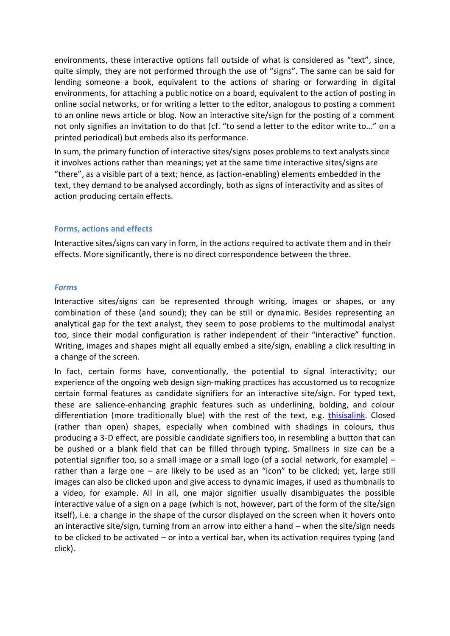environments, these interactive options fall outside of what is considered as "text", since, quite simply, they are not performed through the use of "signs". The same can be said for lending someone a book, equivalent to the actions of sharing or forwarding in digital environments, for attaching a public notice on a board, equivalent to the action of posting in online social networks, or for writing a letter to the editor, analogous to posting a comment to an online news article or blog. Now an interactive site/sign for the posting of a comment not only signifies an invitation to do that (cf. "to send a letter to the editor write to..." on a printed periodical) but embeds also its performance.

In sum, the primary function of interactive sites/signs poses problems to text analysts since it involves actions rather than meanings; yet at the same time interactive sites/signs are "there", as a visible part of a text; hence, as (action-enabling) elements embedded in the text, they demand to be analysed accordingly, both as signs of interactivity and as sites of action producing certain effects.

#### <span id="page-5-0"></span>**Forms, actions and effects**

Interactive sites/signs can vary in form, in the actions required to activate them and in their effects. More significantly, there is no direct correspondence between the three.

#### *Forms*

Interactive sites/signs can be represented through writing, images or shapes, or any combination of these (and sound); they can be still or dynamic. Besides representing an analytical gap for the text analyst, they seem to pose problems to the multimodal analyst too, since their modal configuration is rather independent of their "interactive" function. Writing, images and shapes might all equally embed a site/sign, enabling a click resulting in a change of the screen.

In fact, certain forms have, conventionally, the potential to signal interactivity; our experience of the ongoing web design sign-making practices has accustomed us to recognize certain formal features as candidate signifiers for an interactive site/sign. For typed text, these are salience-enhancing graphic features such as underlining, bolding, and colour differentiation (more traditionally blue) with the rest of the text, e.g. thisisalink. Closed (rather than open) shapes, especially when combined with shadings in colours, thus producing a 3-D effect, are possible candidate signifiers too, in resembling a button that can be pushed or a blank field that can be filled through typing. Smallness in size can be a potential signifier too, so a small image or a small logo (of a social network, for example) – rather than a large one – are likely to be used as an "icon" to be clicked; yet, large still images can also be clicked upon and give access to dynamic images, if used as thumbnails to a video, for example. All in all, one major signifier usually disambiguates the possible interactive value of a sign on a page (which is not, however, part of the form of the site/sign itself), i.e. a change in the shape of the cursor displayed on the screen when it hovers onto an interactive site/sign, turning from an arrow into either a hand – when the site/sign needs to be clicked to be activated – or into a vertical bar, when its activation requires typing (and click).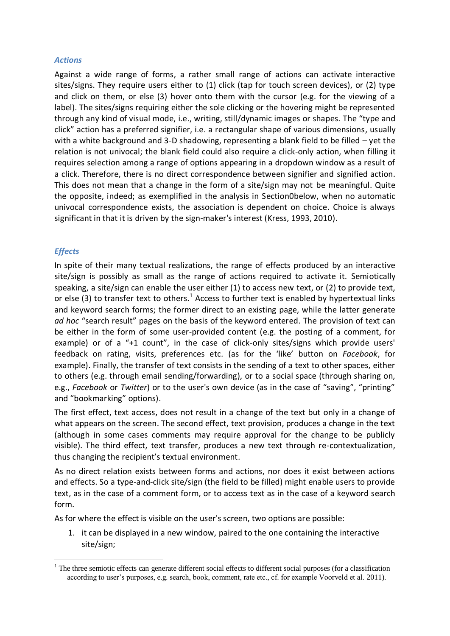#### *Actions*

Against a wide range of forms, a rather small range of actions can activate interactive sites/signs. They require users either to (1) click (tap for touch screen devices), or (2) type and click on them, or else (3) hover onto them with the cursor (e.g. for the viewing of a label). The sites/signs requiring either the sole clicking or the hovering might be represented through any kind of visual mode, i.e., writing, still/dynamic images or shapes. The "type and click" action has a preferred signifier, i.e. a rectangular shape of various dimensions, usually with a white background and 3-D shadowing, representing a blank field to be filled – yet the relation is not univocal; the blank field could also require a click-only action, when filling it requires selection among a range of options appearing in a dropdown window as a result of a click. Therefore, there is no direct correspondence between signifier and signified action. This does not mean that a change in the form of a site/sign may not be meaningful. Quite the opposite, indeed; as exemplified in the analysis in Sectio[n0b](#page-8-1)elow, when no automatic univocal correspondence exists, the association is dependent on choice. Choice is always significant in that it is driven by the sign-maker's interest (Kress, 1993, 2010).

#### *Effects*

<u>.</u>

In spite of their many textual realizations, the range of effects produced by an interactive site/sign is possibly as small as the range of actions required to activate it. Semiotically speaking, a site/sign can enable the user either (1) to access new text, or (2) to provide text, or else (3) to transfer text to others.<sup>1</sup> Access to further text is enabled by hypertextual links and keyword search forms; the former direct to an existing page, while the latter generate *ad hoc* "search result" pages on the basis of the keyword entered. The provision of text can be either in the form of some user-provided content (e.g. the posting of a comment, for example) or of a "+1 count", in the case of click-only sites/signs which provide users' feedback on rating, visits, preferences etc. (as for the 'like' button on *Facebook*, for example). Finally, the transfer of text consists in the sending of a text to other spaces, either to others (e.g. through email sending/forwarding), or to a social space (through sharing on, e.g., *Facebook* or *Twitter*) or to the user's own device (as in the case of "saving", "printing" and "bookmarking" options).

The first effect, text access, does not result in a change of the text but only in a change of what appears on the screen. The second effect, text provision, produces a change in the text (although in some cases comments may require approval for the change to be publicly visible). The third effect, text transfer, produces a new text through re-contextualization, thus changing the recipient's textual environment.

As no direct relation exists between forms and actions, nor does it exist between actions and effects. So a type-and-click site/sign (the field to be filled) might enable users to provide text, as in the case of a comment form, or to access text as in the case of a keyword search form.

As for where the effect is visible on the user's screen, two options are possible:

1. it can be displayed in a new window, paired to the one containing the interactive site/sign;

<sup>&</sup>lt;sup>1</sup> The three semiotic effects can generate different social effects to different social purposes (for a classification according to user's purposes, e.g. search, book, comment, rate etc., cf. for example Voorveld et al. 2011).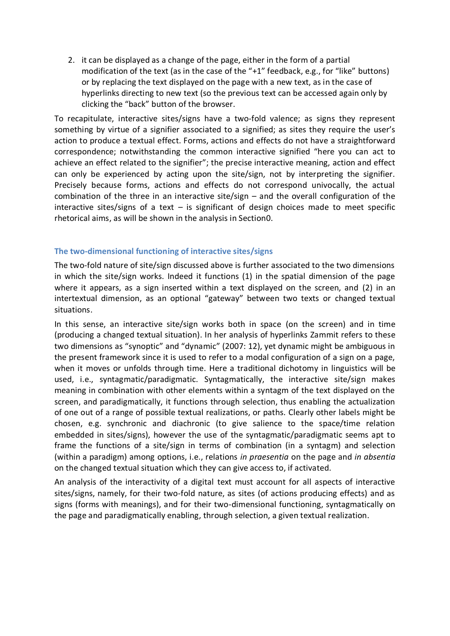2. it can be displayed as a change of the page, either in the form of a partial modification of the text (as in the case of the "+1" feedback, e.g., for "like" buttons) or by replacing the text displayed on the page with a new text, as in the case of hyperlinks directing to new text (so the previous text can be accessed again only by clicking the "back" button of the browser.

To recapitulate, interactive sites/signs have a two-fold valence; as signs they represent something by virtue of a signifier associated to a signified; as sites they require the user's action to produce a textual effect. Forms, actions and effects do not have a straightforward correspondence; notwithstanding the common interactive signified "here you can act to achieve an effect related to the signifier"; the precise interactive meaning, action and effect can only be experienced by acting upon the site/sign, not by interpreting the signifier. Precisely because forms, actions and effects do not correspond univocally, the actual combination of the three in an interactive site/sign – and the overall configuration of the interactive sites/signs of a text  $-$  is significant of design choices made to meet specific rhetorical aims, as will be shown in the analysis in Sectio[n0.](#page-9-0)

#### <span id="page-7-0"></span>**The two-dimensional functioning of interactive sites/signs**

The two-fold nature of site/sign discussed above is further associated to the two dimensions in which the site/sign works. Indeed it functions (1) in the spatial dimension of the page where it appears, as a sign inserted within a text displayed on the screen, and (2) in an intertextual dimension, as an optional "gateway" between two texts or changed textual situations.

In this sense, an interactive site/sign works both in space (on the screen) and in time (producing a changed textual situation). In her analysis of hyperlinks Zammit refers to these two dimensions as "synoptic" and "dynamic" (2007: 12), yet dynamic might be ambiguous in the present framework since it is used to refer to a modal configuration of a sign on a page, when it moves or unfolds through time. Here a traditional dichotomy in linguistics will be used, i.e., syntagmatic/paradigmatic. Syntagmatically, the interactive site/sign makes meaning in combination with other elements within a syntagm of the text displayed on the screen, and paradigmatically, it functions through selection, thus enabling the actualization of one out of a range of possible textual realizations, or paths. Clearly other labels might be chosen, e.g. synchronic and diachronic (to give salience to the space/time relation embedded in sites/signs), however the use of the syntagmatic/paradigmatic seems apt to frame the functions of a site/sign in terms of combination (in a syntagm) and selection (within a paradigm) among options, i.e., relations *in praesentia* on the page and *in absentia* on the changed textual situation which they can give access to, if activated.

An analysis of the interactivity of a digital text must account for all aspects of interactive sites/signs, namely, for their two-fold nature, as sites (of actions producing effects) and as signs (forms with meanings), and for their two-dimensional functioning, syntagmatically on the page and paradigmatically enabling, through selection, a given textual realization.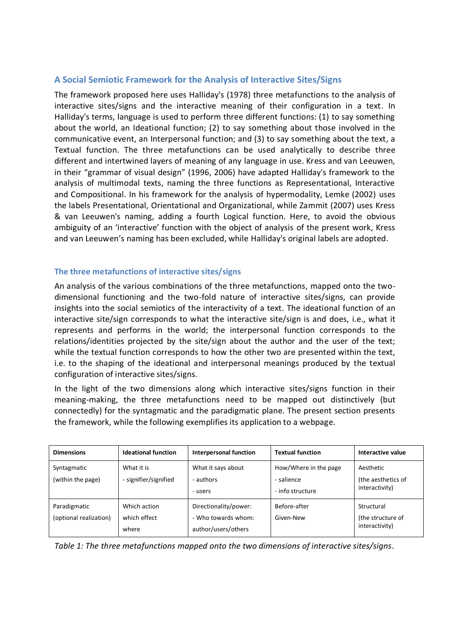#### <span id="page-8-0"></span>**A Social Semiotic Framework for the Analysis of Interactive Sites/Signs**

The framework proposed here uses Halliday's (1978) three metafunctions to the analysis of interactive sites/signs and the interactive meaning of their configuration in a text. In Halliday's terms, language is used to perform three different functions: (1) to say something about the world, an Ideational function; (2) to say something about those involved in the communicative event, an Interpersonal function; and (3) to say something about the text, a Textual function. The three metafunctions can be used analytically to describe three different and intertwined layers of meaning of any language in use. Kress and van Leeuwen, in their "grammar of visual design" (1996, 2006) have adapted Halliday's framework to the analysis of multimodal texts, naming the three functions as Representational, Interactive and Compositional. In his framework for the analysis of hypermodality, Lemke (2002) uses the labels Presentational, Orientational and Organizational, while Zammit (2007) uses Kress & van Leeuwen's naming, adding a fourth Logical function. Here, to avoid the obvious ambiguity of an 'interactive' function with the object of analysis of the present work, Kress and van Leeuwen's naming has been excluded, while Halliday's original labels are adopted.

#### <span id="page-8-1"></span>**The three metafunctions of interactive sites/signs**

An analysis of the various combinations of the three metafunctions, mapped onto the twodimensional functioning and the two-fold nature of interactive sites/signs, can provide insights into the social semiotics of the interactivity of a text. The ideational function of an interactive site/sign corresponds to what the interactive site/sign is and does, i.e., what it represents and performs in the world; the interpersonal function corresponds to the relations/identities projected by the site/sign about the author and the user of the text; while the textual function corresponds to how the other two are presented within the text, i.e. to the shaping of the ideational and interpersonal meanings produced by the textual configuration of interactive sites/signs.

In the light of the two dimensions along which interactive sites/signs function in their meaning-making, the three metafunctions need to be mapped out distinctively (but connectedly) for the syntagmatic and the paradigmatic plane. The present section presents the framework, while the following exemplifies its application to a webpage.

| <b>Dimensions</b>                      | <b>Ideational function</b>            | <b>Interpersonal function</b>                                       | <b>Textual function</b>                                 | Interactive value                                 |
|----------------------------------------|---------------------------------------|---------------------------------------------------------------------|---------------------------------------------------------|---------------------------------------------------|
| Syntagmatic<br>(within the page)       | What it is<br>- signifier/signified   | What it says about<br>- authors<br>- users                          | How/Where in the page<br>- salience<br>- info structure | Aesthetic<br>(the aesthetics of<br>interactivity) |
| Paradigmatic<br>(optional realization) | Which action<br>which effect<br>where | Directionality/power:<br>- Who towards whom:<br>author/users/others | Before-after<br>Given-New                               | Structural<br>(the structure of<br>interactivity) |

*Table 1: The three metafunctions mapped onto the two dimensions of interactive sites/signs.*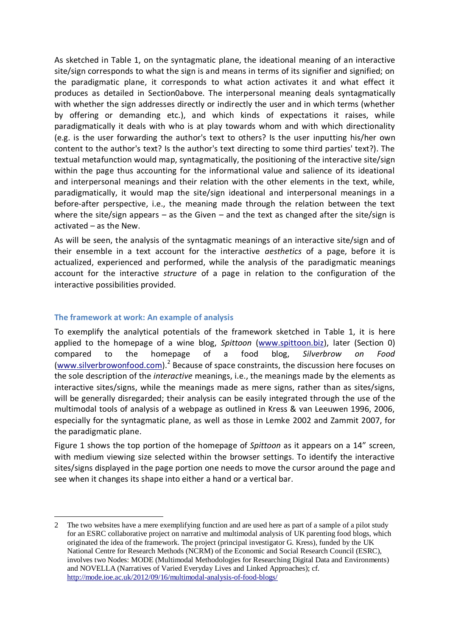As sketched in Table 1, on the syntagmatic plane, the ideational meaning of an interactive site/sign corresponds to what the sign is and means in terms of its signifier and signified; on the paradigmatic plane, it corresponds to what action activates it and what effect it produces as detailed in Sectio[n0a](#page-5-0)bove. The interpersonal meaning deals syntagmatically with whether the sign addresses directly or indirectly the user and in which terms (whether by offering or demanding etc.), and which kinds of expectations it raises, while paradigmatically it deals with who is at play towards whom and with which directionality (e.g. is the user forwarding the author's text to others? Is the user inputting his/her own content to the author's text? Is the author's text directing to some third parties' text?). The textual metafunction would map, syntagmatically, the positioning of the interactive site/sign within the page thus accounting for the informational value and salience of its ideational and interpersonal meanings and their relation with the other elements in the text, while, paradigmatically, it would map the site/sign ideational and interpersonal meanings in a before-after perspective, i.e., the meaning made through the relation between the text where the site/sign appears – as the Given – and the text as changed after the site/sign is activated – as the New.

As will be seen, the analysis of the syntagmatic meanings of an interactive site/sign and of their ensemble in a text account for the interactive *aesthetics* of a page, before it is actualized, experienced and performed, while the analysis of the paradigmatic meanings account for the interactive *structure* of a page in relation to the configuration of the interactive possibilities provided.

#### <span id="page-9-0"></span>**The framework at work: An example of analysis**

<u>.</u>

To exemplify the analytical potentials of the framework sketched in Table 1, it is here applied to the homepage of a wine blog, *Spittoon* [\(www.spittoon.biz\)](http://www.spittoon.biz/), later (Section [0\)](#page-13-0) compared to the homepage of a food blog, *Silverbrow on Food* [\(www.silverbrowonfood.com\)](http://www.silverbrowonfood.com/).<sup>2</sup> Because of space constraints, the discussion here focuses on the sole description of the *interactive* meanings, i.e., the meanings made by the elements as interactive sites/signs, while the meanings made as mere signs, rather than as sites/signs, will be generally disregarded; their analysis can be easily integrated through the use of the multimodal tools of analysis of a webpage as outlined in Kress & van Leeuwen 1996, 2006, especially for the syntagmatic plane, as well as those in Lemke 2002 and Zammit 2007, for the paradigmatic plane.

Figure 1 shows the top portion of the homepage of *Spittoon* as it appears on a 14" screen, with medium viewing size selected within the browser settings. To identify the interactive sites/signs displayed in the page portion one needs to move the cursor around the page and see when it changes its shape into either a hand or a vertical bar.

<sup>2</sup> The two websites have a mere exemplifying function and are used here as part of a sample of a pilot study for an ESRC collaborative project on narrative and multimodal analysis of UK parenting food blogs, which originated the idea of the framework. The project (principal investigator G. Kress), funded by the UK National Centre for Research Methods (NCRM) of the Economic and Social Research Council (ESRC), involves two Nodes: MODE (Multimodal Methodologies for Researching Digital Data and Environments) and NOVELLA (Narratives of Varied Everyday Lives and Linked Approaches); cf. <http://mode.ioe.ac.uk/2012/09/16/multimodal-analysis-of-food-blogs/>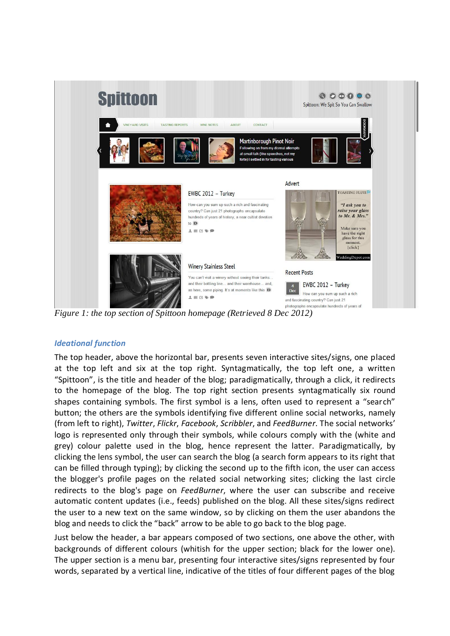

*Figure 1: the top section of Spittoon homepage (Retrieved 8 Dec 2012)*

#### *Ideational function*

The top header, above the horizontal bar, presents seven interactive sites/signs, one placed at the top left and six at the top right. Syntagmatically, the top left one, a written "Spittoon", is the title and header of the blog; paradigmatically, through a click, it redirects to the homepage of the blog. The top right section presents syntagmatically six round shapes containing symbols. The first symbol is a lens, often used to represent a "search" button; the others are the symbols identifying five different online social networks, namely (from left to right), *Twitter*, *Flickr*, *Facebook*, *Scribbler*, and *FeedBurner*. The social networks' logo is represented only through their symbols, while colours comply with the (white and grey) colour palette used in the blog, hence represent the latter. Paradigmatically, by clicking the lens symbol, the user can search the blog (a search form appears to its right that can be filled through typing); by clicking the second up to the fifth icon, the user can access the blogger's profile pages on the related social networking sites; clicking the last circle redirects to the blog's page on *FeedBurner*, where the user can subscribe and receive automatic content updates (i.e., feeds) published on the blog. All these sites/signs redirect the user to a new text on the same window, so by clicking on them the user abandons the blog and needs to click the "back" arrow to be able to go back to the blog page.

Just below the header, a bar appears composed of two sections, one above the other, with backgrounds of different colours (whitish for the upper section; black for the lower one). The upper section is a menu bar, presenting four interactive sites/signs represented by four words, separated by a vertical line, indicative of the titles of four different pages of the blog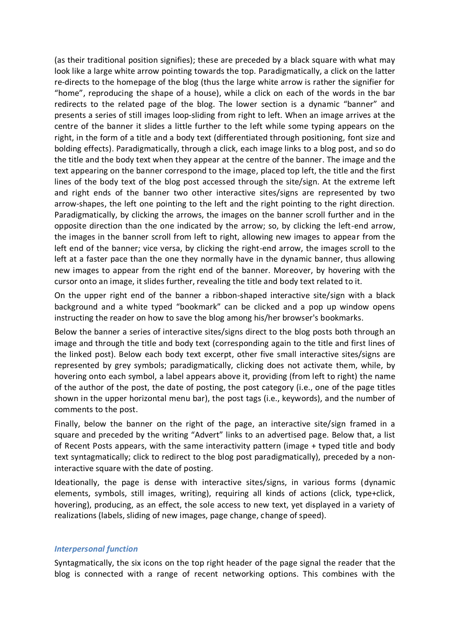(as their traditional position signifies); these are preceded by a black square with what may look like a large white arrow pointing towards the top. Paradigmatically, a click on the latter re-directs to the homepage of the blog (thus the large white arrow is rather the signifier for "home", reproducing the shape of a house), while a click on each of the words in the bar redirects to the related page of the blog. The lower section is a dynamic "banner" and presents a series of still images loop-sliding from right to left. When an image arrives at the centre of the banner it slides a little further to the left while some typing appears on the right, in the form of a title and a body text (differentiated through positioning, font size and bolding effects). Paradigmatically, through a click, each image links to a blog post, and so do the title and the body text when they appear at the centre of the banner. The image and the text appearing on the banner correspond to the image, placed top left, the title and the first lines of the body text of the blog post accessed through the site/sign. At the extreme left and right ends of the banner two other interactive sites/signs are represented by two arrow-shapes, the left one pointing to the left and the right pointing to the right direction. Paradigmatically, by clicking the arrows, the images on the banner scroll further and in the opposite direction than the one indicated by the arrow; so, by clicking the left-end arrow, the images in the banner scroll from left to right, allowing new images to appear from the left end of the banner; vice versa, by clicking the right-end arrow, the images scroll to the left at a faster pace than the one they normally have in the dynamic banner, thus allowing new images to appear from the right end of the banner. Moreover, by hovering with the cursor onto an image, it slides further, revealing the title and body text related to it.

On the upper right end of the banner a ribbon-shaped interactive site/sign with a black background and a white typed "bookmark" can be clicked and a pop up window opens instructing the reader on how to save the blog among his/her browser's bookmarks.

Below the banner a series of interactive sites/signs direct to the blog posts both through an image and through the title and body text (corresponding again to the title and first lines of the linked post). Below each body text excerpt, other five small interactive sites/signs are represented by grey symbols; paradigmatically, clicking does not activate them, while, by hovering onto each symbol, a label appears above it, providing (from left to right) the name of the author of the post, the date of posting, the post category (i.e., one of the page titles shown in the upper horizontal menu bar), the post tags (i.e., keywords), and the number of comments to the post.

Finally, below the banner on the right of the page, an interactive site/sign framed in a square and preceded by the writing "Advert" links to an advertised page. Below that, a list of Recent Posts appears, with the same interactivity pattern (image + typed title and body text syntagmatically; click to redirect to the blog post paradigmatically), preceded by a noninteractive square with the date of posting.

Ideationally, the page is dense with interactive sites/signs, in various forms (dynamic elements, symbols, still images, writing), requiring all kinds of actions (click, type+click, hovering), producing, as an effect, the sole access to new text, yet displayed in a variety of realizations (labels, sliding of new images, page change, change of speed).

#### *Interpersonal function*

Syntagmatically, the six icons on the top right header of the page signal the reader that the blog is connected with a range of recent networking options. This combines with the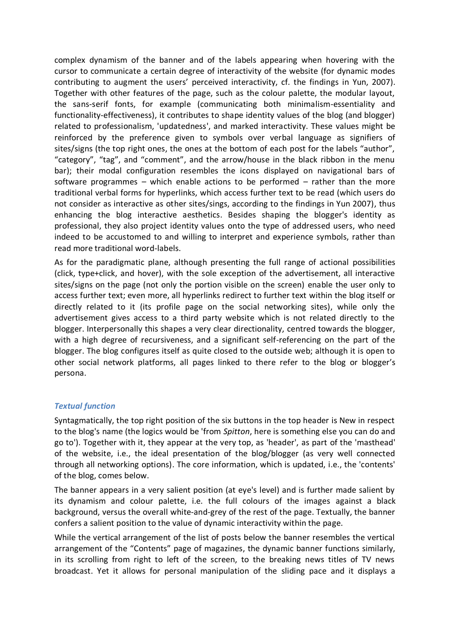complex dynamism of the banner and of the labels appearing when hovering with the cursor to communicate a certain degree of interactivity of the website (for dynamic modes contributing to augment the users' perceived interactivity, cf. the findings in Yun, 2007). Together with other features of the page, such as the colour palette, the modular layout, the sans-serif fonts, for example (communicating both minimalism-essentiality and functionality-effectiveness), it contributes to shape identity values of the blog (and blogger) related to professionalism, 'updatedness', and marked interactivity. These values might be reinforced by the preference given to symbols over verbal language as signifiers of sites/signs (the top right ones, the ones at the bottom of each post for the labels "author", "category", "tag", and "comment", and the arrow/house in the black ribbon in the menu bar); their modal configuration resembles the icons displayed on navigational bars of software programmes – which enable actions to be performed – rather than the more traditional verbal forms for hyperlinks, which access further text to be read (which users do not consider as interactive as other sites/sings, according to the findings in Yun 2007), thus enhancing the blog interactive aesthetics. Besides shaping the blogger's identity as professional, they also project identity values onto the type of addressed users, who need indeed to be accustomed to and willing to interpret and experience symbols, rather than read more traditional word-labels.

As for the paradigmatic plane, although presenting the full range of actional possibilities (click, type+click, and hover), with the sole exception of the advertisement, all interactive sites/signs on the page (not only the portion visible on the screen) enable the user only to access further text; even more, all hyperlinks redirect to further text within the blog itself or directly related to it (its profile page on the social networking sites), while only the advertisement gives access to a third party website which is not related directly to the blogger. Interpersonally this shapes a very clear directionality, centred towards the blogger, with a high degree of recursiveness, and a significant self-referencing on the part of the blogger. The blog configures itself as quite closed to the outside web; although it is open to other social network platforms, all pages linked to there refer to the blog or blogger's persona.

#### *Textual function*

Syntagmatically, the top right position of the six buttons in the top header is New in respect to the blog's name (the logics would be 'from *Spitton*, here is something else you can do and go to'). Together with it, they appear at the very top, as 'header', as part of the 'masthead' of the website, i.e., the ideal presentation of the blog/blogger (as very well connected through all networking options). The core information, which is updated, i.e., the 'contents' of the blog, comes below.

The banner appears in a very salient position (at eye's level) and is further made salient by its dynamism and colour palette, i.e. the full colours of the images against a black background, versus the overall white-and-grey of the rest of the page. Textually, the banner confers a salient position to the value of dynamic interactivity within the page.

While the vertical arrangement of the list of posts below the banner resembles the vertical arrangement of the "Contents" page of magazines, the dynamic banner functions similarly, in its scrolling from right to left of the screen, to the breaking news titles of TV news broadcast. Yet it allows for personal manipulation of the sliding pace and it displays a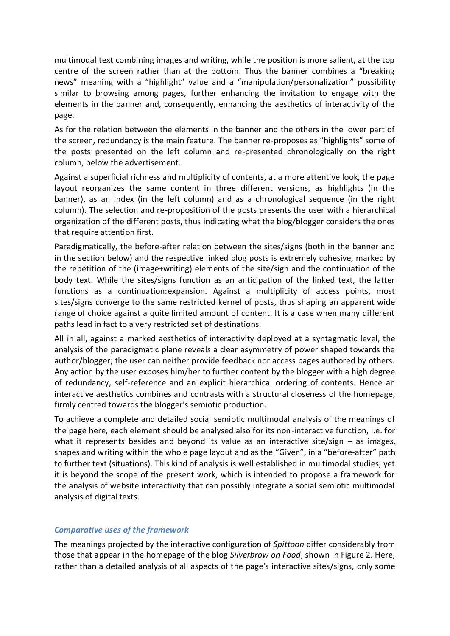multimodal text combining images and writing, while the position is more salient, at the top centre of the screen rather than at the bottom. Thus the banner combines a "breaking news" meaning with a "highlight" value and a "manipulation/personalization" possibility similar to browsing among pages, further enhancing the invitation to engage with the elements in the banner and, consequently, enhancing the aesthetics of interactivity of the page.

As for the relation between the elements in the banner and the others in the lower part of the screen, redundancy is the main feature. The banner re-proposes as "highlights" some of the posts presented on the left column and re-presented chronologically on the right column, below the advertisement.

Against a superficial richness and multiplicity of contents, at a more attentive look, the page layout reorganizes the same content in three different versions, as highlights (in the banner), as an index (in the left column) and as a chronological sequence (in the right column). The selection and re-proposition of the posts presents the user with a hierarchical organization of the different posts, thus indicating what the blog/blogger considers the ones that require attention first.

Paradigmatically, the before-after relation between the sites/signs (both in the banner and in the section below) and the respective linked blog posts is extremely cohesive, marked by the repetition of the (image+writing) elements of the site/sign and the continuation of the body text. While the sites/signs function as an anticipation of the linked text, the latter functions as a continuation:expansion. Against a multiplicity of access points, most sites/signs converge to the same restricted kernel of posts, thus shaping an apparent wide range of choice against a quite limited amount of content. It is a case when many different paths lead in fact to a very restricted set of destinations.

All in all, against a marked aesthetics of interactivity deployed at a syntagmatic level, the analysis of the paradigmatic plane reveals a clear asymmetry of power shaped towards the author/blogger; the user can neither provide feedback nor access pages authored by others. Any action by the user exposes him/her to further content by the blogger with a high degree of redundancy, self-reference and an explicit hierarchical ordering of contents. Hence an interactive aesthetics combines and contrasts with a structural closeness of the homepage, firmly centred towards the blogger's semiotic production.

To achieve a complete and detailed social semiotic multimodal analysis of the meanings of the page here, each element should be analysed also for its non-interactive function, i.e. for what it represents besides and beyond its value as an interactive site/sign  $-$  as images, shapes and writing within the whole page layout and as the "Given", in a "before-after" path to further text (situations). This kind of analysis is well established in multimodal studies; yet it is beyond the scope of the present work, which is intended to propose a framework for the analysis of website interactivity that can possibly integrate a social semiotic multimodal analysis of digital texts.

#### <span id="page-13-0"></span>*Comparative uses of the framework*

The meanings projected by the interactive configuration of *Spittoon* differ considerably from those that appear in the homepage of the blog *Silverbrow on Food*, shown in Figure 2. Here, rather than a detailed analysis of all aspects of the page's interactive sites/signs, only some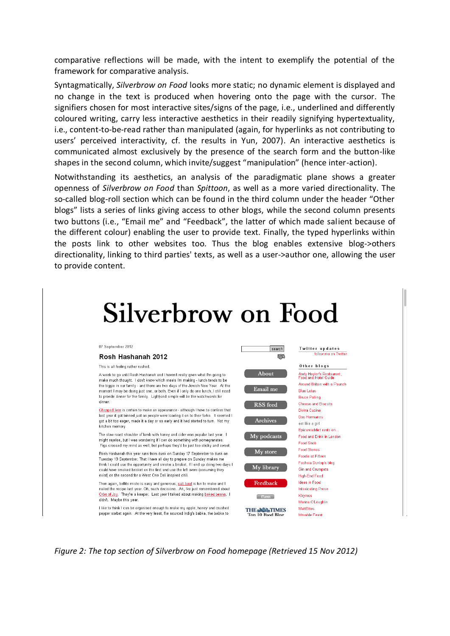comparative reflections will be made, with the intent to exemplify the potential of the framework for comparative analysis.

Syntagmatically, *Silverbrow on Food* looks more static; no dynamic element is displayed and no change in the text is produced when hovering onto the page with the cursor. The signifiers chosen for most interactive sites/signs of the page, i.e., underlined and differently coloured writing, carry less interactive aesthetics in their readily signifying hypertextuality, i.e., content-to-be-read rather than manipulated (again, for hyperlinks as not contributing to users' perceived interactivity, cf. the results in Yun, 2007). An interactive aesthetics is communicated almost exclusively by the presence of the search form and the button-like shapes in the second column, which invite/suggest "manipulation" (hence inter-action).

Notwithstanding its aesthetics, an analysis of the paradigmatic plane shows a greater openness of *Silverbrow on Food* than *Spittoon*, as well as a more varied directionality. The so-called blog-roll section which can be found in the third column under the header "Other blogs" lists a series of links giving access to other blogs, while the second column presents two buttons (i.e., "Email me" and "Feedback", the latter of which made salient because of the different colour) enabling the user to provide text. Finally, the typed hyperlinks within the posts link to other websites too. Thus the blog enables extensive blog->others directionality, linking to third parties' texts, as well as a user->author one, allowing the user to provide content.



*Figure 2: The top section of Silverbrow on Food homepage (Retrieved 15 Nov 2012)*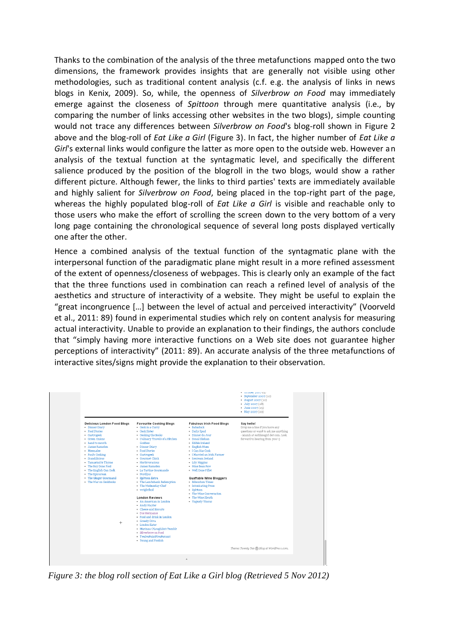Thanks to the combination of the analysis of the three metafunctions mapped onto the two dimensions, the framework provides insights that are generally not visible using other methodologies, such as traditional content analysis (c.f. e.g. the analysis of links in news blogs in Kenix, 2009). So, while, the openness of *Silverbrow on Food* may immediately emerge against the closeness of *Spittoon* through mere quantitative analysis (i.e., by comparing the number of links accessing other websites in the two blogs), simple counting would not trace any differences between *Silverbrow on Food*'s blog-roll shown in Figure 2 above and the blog-roll of *Eat Like a Girl* (Figure 3). In fact, the higher number of *Eat Like a Girl*'s external links would configure the latter as more open to the outside web. However an analysis of the textual function at the syntagmatic level, and specifically the different salience produced by the position of the blogroll in the two blogs, would show a rather different picture. Although fewer, the links to third parties' texts are immediately available and highly salient for *Silverbrow on Food*, being placed in the top-right part of the page, whereas the highly populated blog-roll of *Eat Like a Girl* is visible and reachable only to those users who make the effort of scrolling the screen down to the very bottom of a very long page containing the chronological sequence of several long posts displayed vertically one after the other.

Hence a combined analysis of the textual function of the syntagmatic plane with the interpersonal function of the paradigmatic plane might result in a more refined assessment of the extent of openness/closeness of webpages. This is clearly only an example of the fact that the three functions used in combination can reach a refined level of analysis of the aesthetics and structure of interactivity of a website. They might be useful to explain the "great incongruence […] between the level of actual and perceived interactivity" (Voorveld et al., 2011: 89) found in experimental studies which rely on content analysis for measuring actual interactivity. Unable to provide an explanation to their findings, the authors conclude that "simply having more interactive functions on a Web site does not guarantee higher perceptions of interactivity" (2011: 89). An accurate analysis of the three metafunctions of interactive sites/signs might provide the explanation to their observation.

| <b>Delicious London Food Blogs</b><br>Say hello!<br><b>Favourite Cooking Blogs</b><br><b>Fabulous Irish Food Blogs</b><br>Drop me a line if you have any<br>Cook in a Curry<br>· Babaduck<br>· Dinner Diary<br>questions or want to ask me anything<br>- Food Stories<br>- Cook Sister<br>- Daily Spud<br>- Dinner du Jour<br>- niamh at eatlikeagirl dot com. Look<br>- Gastrogeek<br>- Cooking the Books<br>· Donal Skehan<br>forward to hearing from you! :)<br>• Green Onions<br>- Culinary Travels of a Kitchen<br>- hand to mouth<br>Goddess<br>· Edible Ireland<br>- James Ramsden<br>- Dinner Diary<br>- English Mum<br>- Meemalee<br>- Food Stories<br>- I Can Has Cook<br>- I Married an Irish Farmer<br>- Paul's Cooking<br>- Gastrogeek<br>· Scandilicious<br>Gourmet Chick<br>- Icecream Ireland<br>Tamarind & Thyme<br>· Herbivoracious<br>• Lily Higgins<br>- The Boy Done Food<br>Nine Bean Row<br>James Ramsden<br>- The English Can Cook<br>- La Tartine Gourmande<br>- Well Done Fillet<br>- The Epicurean<br>- Nordljus<br>- The Ginger Gourmand<br>Spittoon Extra<br>Quaffable Wine Bloggers<br>. The War on Conkhooks<br>The Lambshank Redemption<br>- Bibendum Times<br>- The Wednesday Chef<br>- Intoxicating Prose<br>- wrightfood<br>- Spittoon<br>The Wine Conversation<br>- The Wine Sleuth<br><b>London Reviews</b><br>- An American in London<br>- Vaguely Vinous<br>- Andy Hayler<br>Cheese and Biscuits<br>· Dos Hermanos<br>Food and drink in London<br>- Greedy Diva<br>$^{+}$<br>• London Eater<br>Marinaa O'Loughlin's Tumblr<br>- Silverbrow on Food<br>- TwelvePointFivePercent<br>• Young and Foodish<br>Theme: Twenty Ten (N) Blog at WordPress.com. |
|----------------------------------------------------------------------------------------------------------------------------------------------------------------------------------------------------------------------------------------------------------------------------------------------------------------------------------------------------------------------------------------------------------------------------------------------------------------------------------------------------------------------------------------------------------------------------------------------------------------------------------------------------------------------------------------------------------------------------------------------------------------------------------------------------------------------------------------------------------------------------------------------------------------------------------------------------------------------------------------------------------------------------------------------------------------------------------------------------------------------------------------------------------------------------------------------------------------------------------------------------------------------------------------------------------------------------------------------------------------------------------------------------------------------------------------------------------------------------------------------------------------------------------------------------------------------------------------------------------------------------------------------------------------------------------------------|
|                                                                                                                                                                                                                                                                                                                                                                                                                                                                                                                                                                                                                                                                                                                                                                                                                                                                                                                                                                                                                                                                                                                                                                                                                                                                                                                                                                                                                                                                                                                                                                                                                                                                                              |

*Figure 3: the blog roll section of Eat Like a Girl blog (Retrieved 5 Nov 2012)*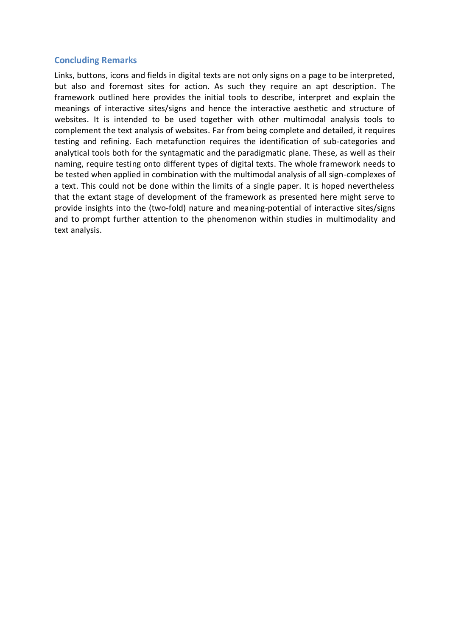#### <span id="page-16-0"></span>**Concluding Remarks**

Links, buttons, icons and fields in digital texts are not only signs on a page to be interpreted, but also and foremost sites for action. As such they require an apt description. The framework outlined here provides the initial tools to describe, interpret and explain the meanings of interactive sites/signs and hence the interactive aesthetic and structure of websites. It is intended to be used together with other multimodal analysis tools to complement the text analysis of websites. Far from being complete and detailed, it requires testing and refining. Each metafunction requires the identification of sub-categories and analytical tools both for the syntagmatic and the paradigmatic plane. These, as well as their naming, require testing onto different types of digital texts. The whole framework needs to be tested when applied in combination with the multimodal analysis of all sign-complexes of a text. This could not be done within the limits of a single paper. It is hoped nevertheless that the extant stage of development of the framework as presented here might serve to provide insights into the (two-fold) nature and meaning-potential of interactive sites/signs and to prompt further attention to the phenomenon within studies in multimodality and text analysis.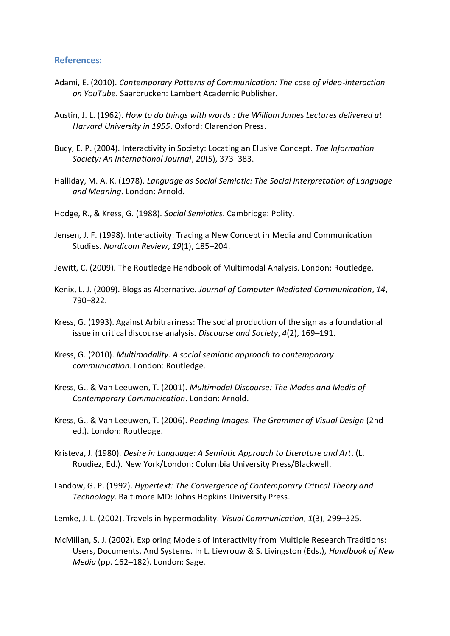#### <span id="page-17-0"></span>**References:**

- Adami, E. (2010). *Contemporary Patterns of Communication: The case of video-interaction on YouTube*. Saarbrucken: Lambert Academic Publisher.
- Austin, J. L. (1962). *How to do things with words : the William James Lectures delivered at Harvard University in 1955*. Oxford: Clarendon Press.
- Bucy, E. P. (2004). Interactivity in Society: Locating an Elusive Concept. *The Information Society: An International Journal*, *20*(5), 373–383.
- Halliday, M. A. K. (1978). *Language as Social Semiotic: The Social Interpretation of Language and Meaning*. London: Arnold.
- Hodge, R., & Kress, G. (1988). *Social Semiotics*. Cambridge: Polity.
- Jensen, J. F. (1998). Interactivity: Tracing a New Concept in Media and Communication Studies. *Nordicom Review*, *19*(1), 185–204.
- Jewitt, C. (2009). The Routledge Handbook of Multimodal Analysis. London: Routledge.
- Kenix, L. J. (2009). Blogs as Alternative. *Journal of Computer-Mediated Communication*, *14*, 790–822.
- Kress, G. (1993). Against Arbitrariness: The social production of the sign as a foundational issue in critical discourse analysis. *Discourse and Society*, *4*(2), 169–191.
- Kress, G. (2010). *Multimodality. A social semiotic approach to contemporary communication*. London: Routledge.
- Kress, G., & Van Leeuwen, T. (2001). *Multimodal Discourse: The Modes and Media of Contemporary Communication*. London: Arnold.
- Kress, G., & Van Leeuwen, T. (2006). *Reading Images. The Grammar of Visual Design* (2nd ed.). London: Routledge.
- Kristeva, J. (1980). *Desire in Language: A Semiotic Approach to Literature and Art*. (L. Roudiez, Ed.). New York/London: Columbia University Press/Blackwell.
- Landow, G. P. (1992). *Hypertext: The Convergence of Contemporary Critical Theory and Technology*. Baltimore MD: Johns Hopkins University Press.
- Lemke, J. L. (2002). Travels in hypermodality. *Visual Communication*, *1*(3), 299–325.
- McMillan, S. J. (2002). Exploring Models of Interactivity from Multiple Research Traditions: Users, Documents, And Systems. In L. Lievrouw & S. Livingston (Eds.), *Handbook of New Media* (pp. 162–182). London: Sage.